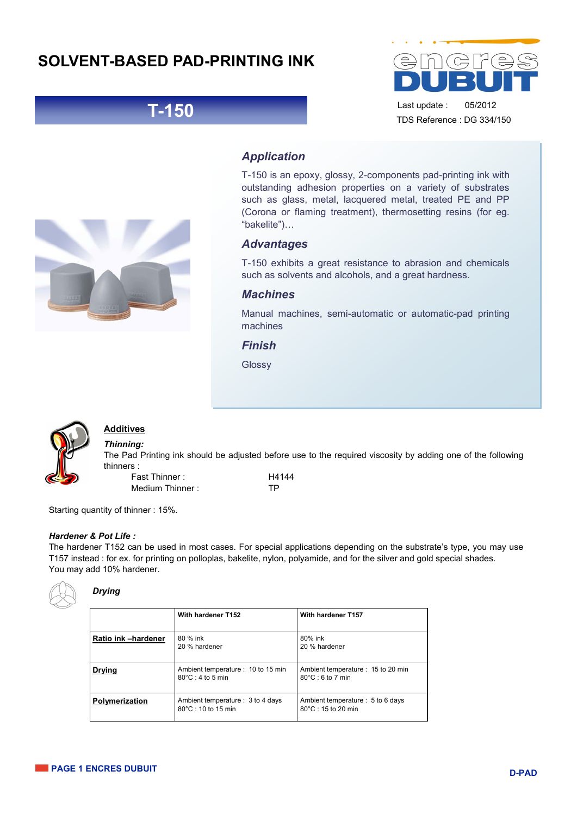## **SOLVENT-BASED PAD-PRINTING INK**





Last update : 05/2012 TDS Reference : DG 334/150

## *Application*

T-150 is an epoxy, glossy, 2-components pad-printing ink with outstanding adhesion properties on a variety of substrates such as glass, metal, lacquered metal, treated PE and PP (Corona or flaming treatment), thermosetting resins (for eg. "bakelite")…

## *Advantages*

T-150 exhibits a great resistance to abrasion and chemicals such as solvents and alcohols, and a great hardness.

## *Machines*

Manual machines, semi-automatic or automatic-pad printing machines

*Finish* 

Glossy



## **Additives**

*Thinning:*  The Pad Printing ink should be adjusted before use to the required viscosity by adding one of the following thinners :

Fast Thinner : 
H4144 Medium Thinner : TP

Starting quantity of thinner : 15%.

#### *Hardener & Pot Life :*

The hardener T152 can be used in most cases. For special applications depending on the substrate's type, you may use T157 instead : for ex. for printing on polloplas, bakelite, nylon, polyamide, and for the silver and gold special shades. You may add 10% hardener.



## *Drying*

|                     | With hardener T152                                               | With hardener T157                                               |
|---------------------|------------------------------------------------------------------|------------------------------------------------------------------|
| Ratio ink -hardener | 80 % ink<br>20 % hardener                                        | 80% ink<br>20 % hardener                                         |
| <b>Drying</b>       | Ambient temperature : 10 to 15 min<br>$80^{\circ}$ C: 4 to 5 min | Ambient temperature : 15 to 20 min<br>$80^{\circ}$ C: 6 to 7 min |
| Polymerization      | Ambient temperature: 3 to 4 days<br>80°C: 10 to 15 min           | Ambient temperature : 5 to 6 days<br>80°C: 15 to 20 min          |